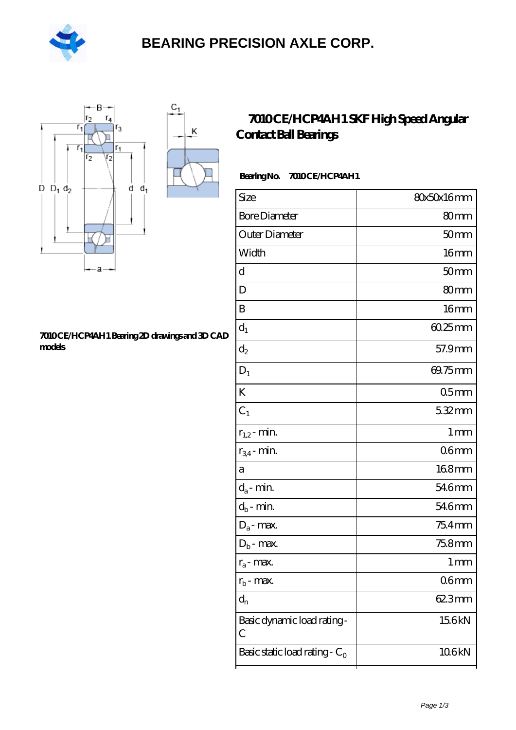

## **[BEARING PRECISION AXLE CORP.](https://m.hilalanaokulu.com)**

Κ



#### **[7010 CE/HCP4AH1 Bearing 2D drawings and 3D CAD](https://m.hilalanaokulu.com/pic-660591.html) [models](https://m.hilalanaokulu.com/pic-660591.html)**

### **[7010 CE/HCP4AH1 SKF High Speed Angular](https://m.hilalanaokulu.com/skf-bearings/7010-ce-hcp4ah1.html) [Contact Ball Bearings](https://m.hilalanaokulu.com/skf-bearings/7010-ce-hcp4ah1.html)**

### Bearing No. 7010 CE/HCP4AH1

| Size                             | 80x50x16mm       |
|----------------------------------|------------------|
| <b>Bore Diameter</b>             | 80mm             |
| Outer Diameter                   | 50 <sub>mm</sub> |
| Width                            | 16 <sub>mm</sub> |
| d                                | 50 <sub>mm</sub> |
| D                                | 80 <sub>mm</sub> |
| B                                | 16 <sub>mm</sub> |
| $d_1$                            | $6025$ mm        |
| $d_2$                            | 57.9mm           |
| $D_1$                            | 69.75mm          |
| K                                | 05 <sub>mm</sub> |
| $C_1$                            | 5.32mm           |
| $r_{1,2}$ - min.                 | 1 <sub>mm</sub>  |
| $r_{34}$ - min.                  | 06 <sub>mm</sub> |
| а                                | 168mm            |
| $d_a$ - min.                     | 546mm            |
| $d_b$ - $\min$                   | 546mm            |
| $D_a$ - max.                     | $754$ mm         |
| $D_b$ - max.                     | 75.8mm           |
| $r_a$ - max.                     | 1 <sub>mm</sub>  |
| $r_{b}$ - max.                   | 06 <sub>mm</sub> |
| $d_n$                            | 623mm            |
| Basic dynamic load rating-<br>С  | 15.6kN           |
| Basic static load rating - $C_0$ | 106kN            |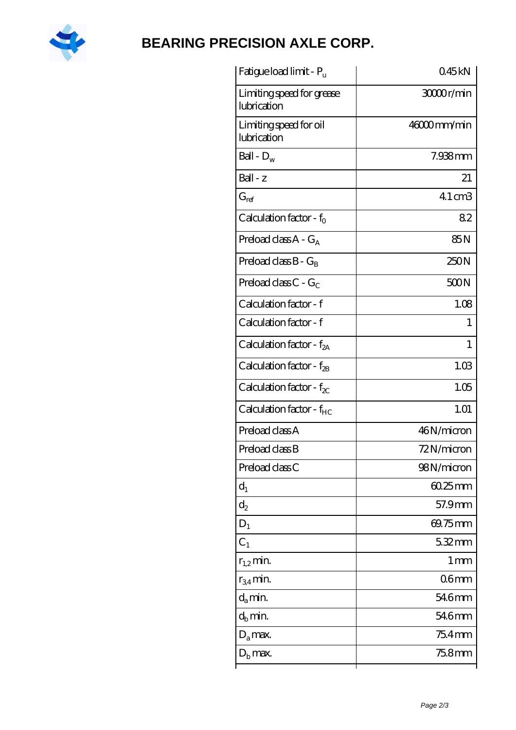

# **[BEARING PRECISION AXLE CORP.](https://m.hilalanaokulu.com)**

| Fatigue load limit - Pu                  | 045kN             |
|------------------------------------------|-------------------|
| Limiting speed for grease<br>lubrication | 30000r/min        |
| Limiting speed for oil<br>lubrication    | 46000mm/min       |
| Ball - $D_w$                             | $7.938$ mm        |
| $Ball - z$                               | 21                |
| $G_{ref}$                                | $41 \text{ cm}$ 3 |
| Calculation factor - $f_0$               | 82                |
| Preload class $A - G_A$                  | 85N               |
| Preload class $B - G_B$                  | 250N              |
| Preload class $C - G_C$                  | 500N              |
| Calculation factor - f                   | 1.08              |
| Calculation factor - f                   | 1                 |
| Calculation factor - $f_{2A}$            | 1                 |
| Calculation factor - $f_{2B}$            | 1.03              |
| Calculation factor - $f_{\chi}$          | 1.05              |
| Calculation factor - $f_{HC}$            | 1.01              |
| Preload class A                          | 46N/micron        |
| Preload class B                          | 72N/micron        |
| Preload class C                          | 98N/micron        |
| $d_1$                                    | $6025$ mm         |
| $\mathrm{d}_2$                           | 57.9mm            |
| $D_1$                                    | 69.75mm           |
| C <sub>1</sub>                           | 5.32mm            |
| $r_{1,2}$ min.                           | $1 \,\mathrm{mm}$ |
| $r_{34}$ min.                            | 06 <sub>mm</sub>  |
| $d_a$ min.                               | 546mm             |
| $d_h$ min.                               | 54.6mm            |
| $D_a$ max.                               | 754mm             |
| $Db$ max.                                | 75.8mm            |
|                                          |                   |